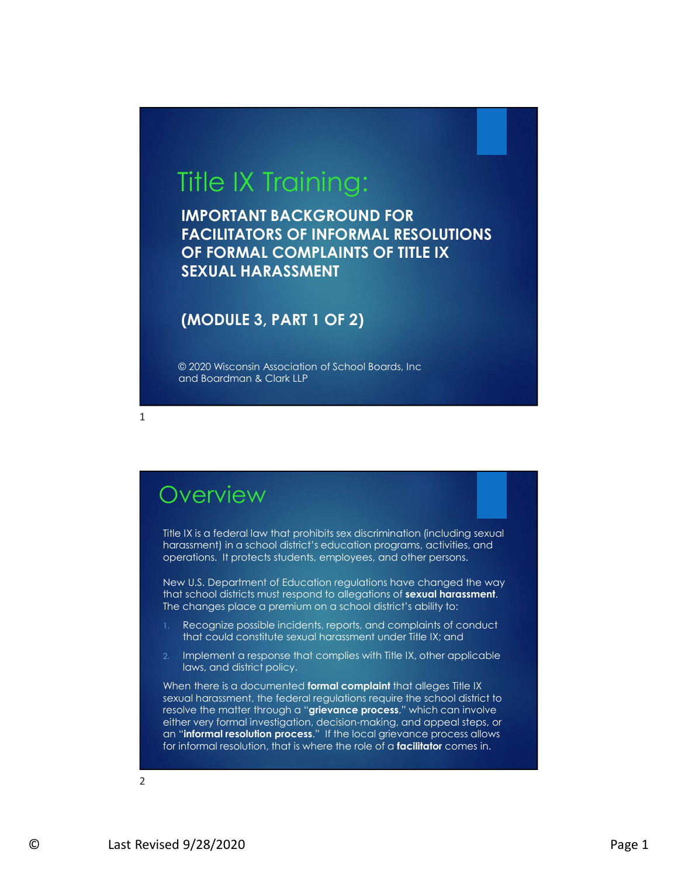# Title IX Training:

IMPORTANT BACKGROUND FOR FACILITATORS OF INFORMAL RESOLUTIONS OF FORMAL COMPLAINTS OF TITLE IX SEXUAL HARASSMENT

#### (MODULE 3, PART 1 OF 2)

© 2020 Wisconsin Association of School Boards, Inc and Boardman & Clark LLP

## **Overview**

1

Title IX is a federal law that prohibits sex discrimination (including sexual harassment) in a school district's education programs, activities, and operations. It protects students, employees, and other persons.

New U.S. Department of Education regulations have changed the way that school districts must respond to allegations of **sexual harassment.** The changes place a premium on a school district's ability to:

- Recognize possible incidents, reports, and complaints of conduct that could constitute sexual harassment under Title IX; and
- 2. Implement a response that complies with Title IX, other applicable laws, and district policy.

New U.S. Department of Education regulations have changed the way<br>that school districts transferenced to a degations of **sexual harassment**.<br>The changes place a premium on a school district's oblity to:<br>1. Recognize possib When there is a documented formal complaint that alleges Title IX sexual harassment, the federal regulations require the school district to resolve the matter through a "grievance process," which can involve either very formal investigation, decision-making, and appeal steps, or an "informal resolution process." If the local grievance process allows for informal resolution, that is where the role of a **facilitator** comes in.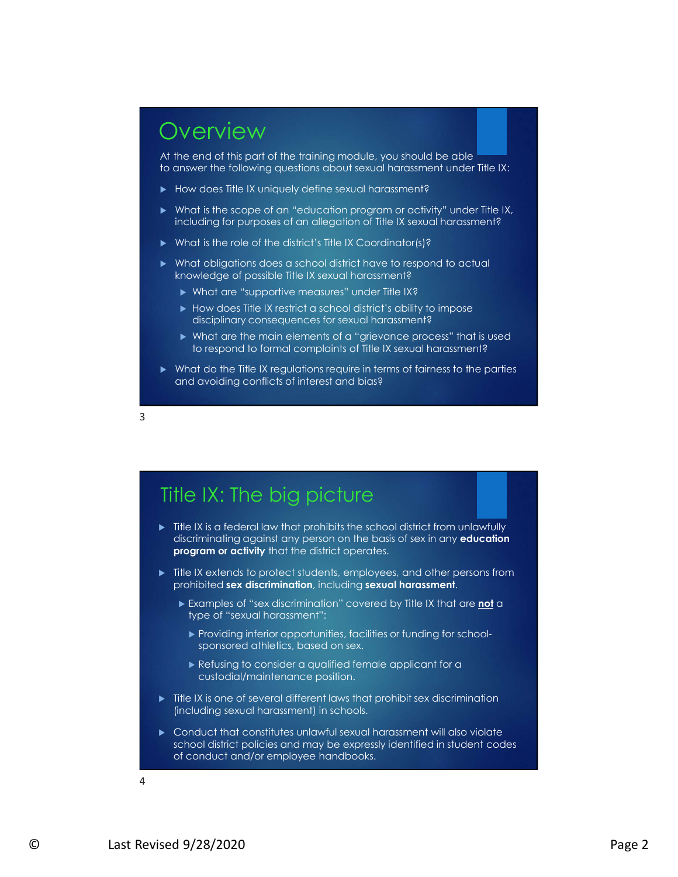

At the end of this part of the training module, you should be able to answer the following questions about sexual harassment under Title IX:

- How does Title IX uniquely define sexual harassment?
- What is the scope of an "education program or activity" under Title IX, including for purposes of an allegation of Title IX sexual harassment?
- ▶ What is the role of the district's Title IX Coordinator(s)?
- What obligations does a school district have to respond to actual knowledge of possible Title IX sexual harassment?
	- What are "supportive measures" under Title IX?
	- How does Title IX restrict a school district's ability to impose disciplinary consequences for sexual harassment?
	- What are the main elements of a "grievance process" that is used to respond to formal complaints of Title IX sexual harassment?
- What do the Title IX regulations require in terms of fairness to the parties and avoiding conflicts of interest and bias?



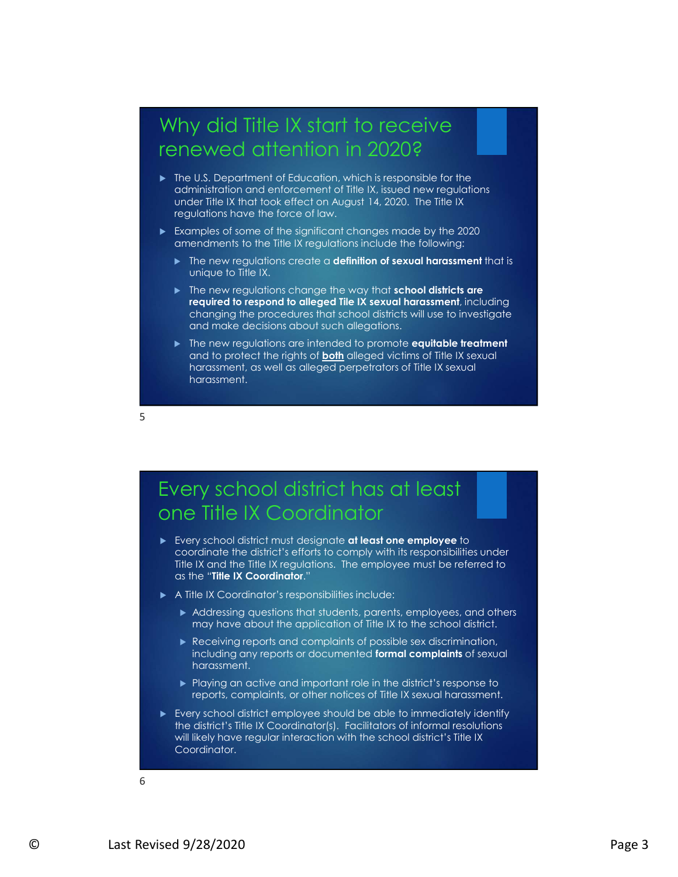## Why did Title IX start to receive renewed attention in 2020?

- ▶ The U.S. Department of Education, which is responsible for the administration and enforcement of Title IX, issued new regulations under Title IX that took effect on August 14, 2020. The Title IX regulations have the force of law.
- Examples of some of the significant changes made by the 2020 amendments to the Title IX regulations include the following:
	- $\blacktriangleright$  The new regulations create a **definition of sexual harassment** that is unique to Title IX.
	- The new regulations change the way that school districts are required to respond to alleged Tile IX sexual harassment, including changing the procedures that school districts will use to investigate and make decisions about such allegations.
	- The new regulations are intended to promote equitable treatment and to protect the rights of **both** alleged victims of Title IX sexual harassment, as well as alleged perpetrators of Title IX sexual harassment.

 $5<sub>5</sub>$ 

## Every school district has at least one Title IX Coordinator

- Every school district must designate at least one employee to coordinate the district's efforts to comply with its responsibilities under Title IX and the Title IX regulations. The employee must be referred to as the "Title IX Coordinator."
- A Title IX Coordinator's responsibilities include:
	- Addressing questions that students, parents, employees, and others may have about the application of Title IX to the school district.
	- Receiving reports and complaints of possible sex discrimination, including any reports or documented **formal complaints** of sexual harassment.
	- ▶ Playing an active and important role in the district's response to reports, complaints, or other notices of Title IX sexual harassment.
- ms of the K. Coordinator."<br>
A Title K. Coordinator:<br>
A Title Coordinator:<br>
A Title Coordinator:<br>
A Title Coordinator:<br>
A Title Coordinates for the state of the B. It is the section of the B. The Receiving may report stand Every school district employee should be able to immediately identify the district's Title IX Coordinator(s). Facilitators of informal resolutions will likely have regular interaction with the school district's Title IX Coordinator.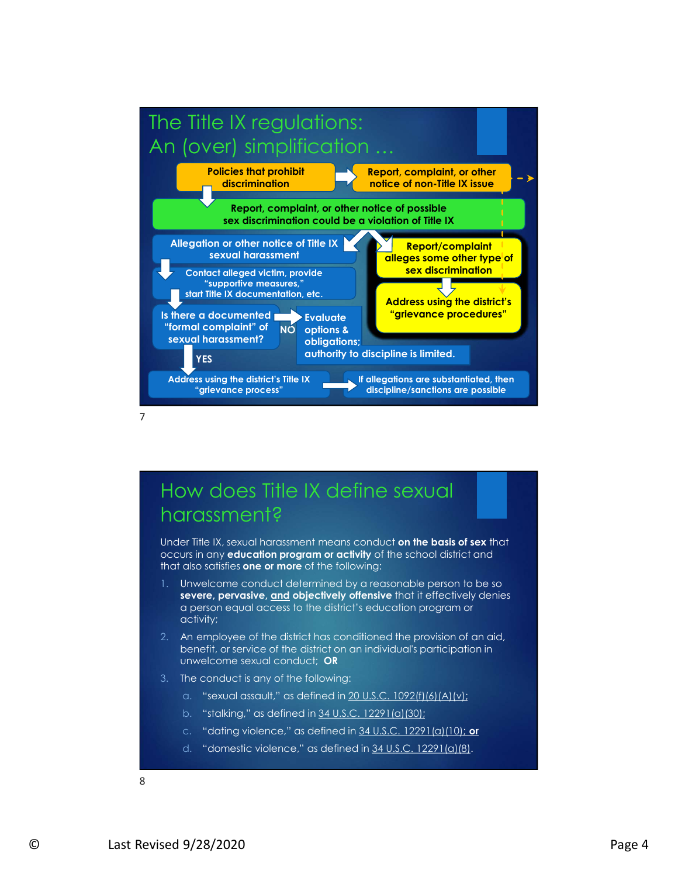

## How does Title IX define sexual harassment?

occurs in any education program or activity of the school district and that also satisfies one or more of the following:

- In unaw solutions of ever method in the following.<br>
L. Universidence conduct determined by a reasonable person to be so<br>
severe, pervastive, and objectively detailed in the fectively deniss<br>
a person equal access to the di 1. Unwelcome conduct determined by a reasonable person to be so a person equal access to the district's education program or activity;
	- 2. An employee of the district has conditioned the provision of an aid, benefit, or service of the district on an individual's participation in unwelcome sexual conduct; OR
	- 3. The conduct is any of the following:
		- a. "sexual assault," as defined in 20 U.S.C. 1092(f)(6)(A)(v);
		- b. "stalking," as defined in  $34$  U.S.C. 12291(a)(30);
		- c. "dating violence," as defined in 34 U.S.C. 12291(a)(10); or
		- d. "domestic violence," as defined in 34 U.S.C. 12291(a)(8).

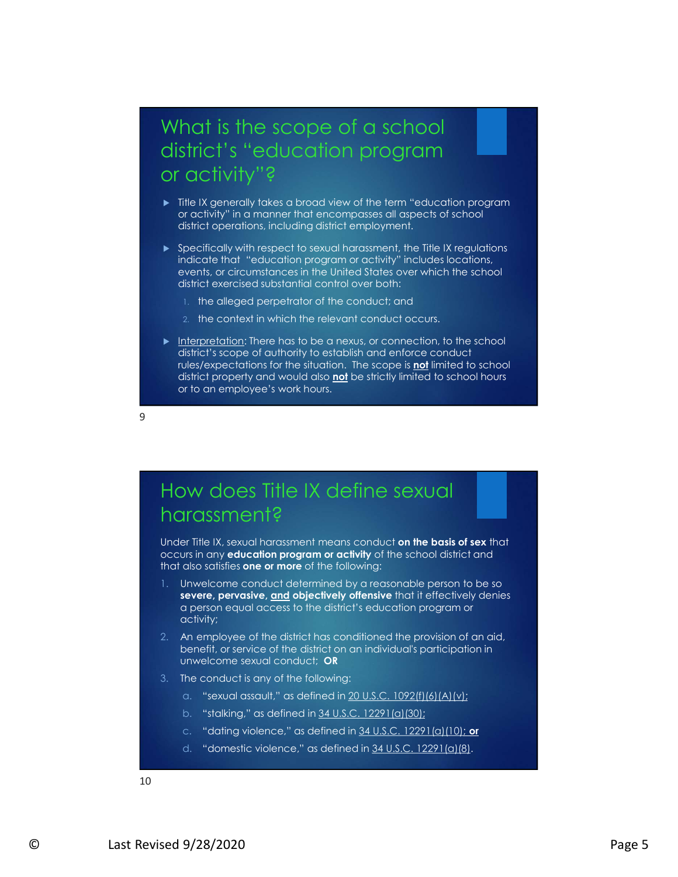## What is the scope of a school district's "education program or activity"?

- $\blacktriangleright$  Title IX generally takes a broad view of the term "education program or activity" in a manner that encompasses all aspects of school district operations, including district employment.
- ▶ Specifically with respect to sexual harassment, the Title IX regulations indicate that "education program or activity" includes locations, events, or circumstances in the United States over which the school district exercised substantial control over both:
	- 1. the alleged perpetrator of the conduct; and
	- 2. the context in which the relevant conduct occurs.
- What is the scope of a school<br>district's "education program<br>or activity"?<br>
Fille X generally takes a broad view of the term "education program<br>or activity" in a manner that encerposes all aspects of school<br>affect operation district's scope of authority to establish and enforce conduct rules/expectations for the situation. The scope is not limited to school district property and would also not be strictly limited to school hours or to an employee's work hours. Figure the three that is the three that is the three that is distinct that is the transformed that the three that is the conduct of the school distinct overceived substantial control over the conduct . The calleged perpetr severe, which is the content of the content of the content of the school<br>statist" scope of authority to establish and enforce conduct<br>distributed to the school<br>distributed poper of authority to establish and enforce conduc

9

### How does Title IX define sexual harassment?

occurs in any education program or activity of the school district and that also satisfies one or more of the following:

- In unaw solutions of ever method in the following.<br>
L. Universidence conduct determined by a reasonable person to be so<br>
severe, pervastive, and objectively detailed in securities of the relationship<br>
2. A employee of the Unwelcome conduct determined by a reasonable person to be so<br>severe, pervasive, and objectively offensive that it effectively denies a person equal access to the district's education program or activity;
	- 2. An employee of the district has conditioned the provision of an aid, benefit, or service of the district on an individual's participation in unwelcome sexual conduct; OR
	- 3. The conduct is any of the following:
		- a. "sexual assault," as defined in 20 U.S.C. 1092(f)(6)(A)(v);
		- b. "stalking," as defined in  $34$  U.S.C. 12291(a)(30);
		- c. "dating violence," as defined in  $34$  U.S.C. 12291(a)(10); or
		- d. "domestic violence," as defined in 34 U.S.C. 12291(a)(8).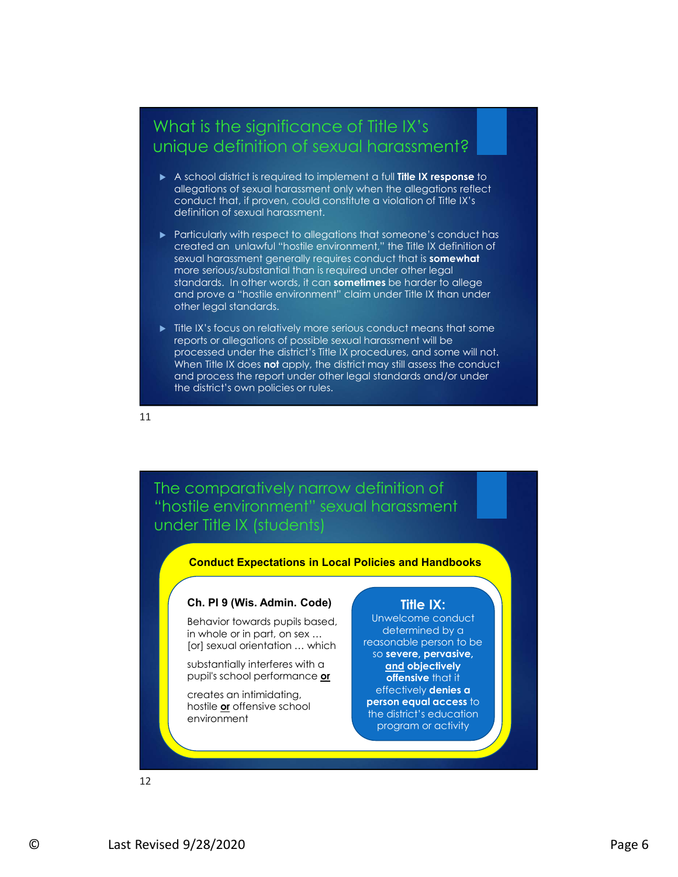#### What is the significance of Title IX's unique definition of sexual harassment?

- A school district is required to implement a full Title IX response to allegations of sexual harassment only when the allegations reflect conduct that, if proven, could constitute a violation of Title IX's definition of sexual harassment.
- **Particularly with respect to allegations that someone's conduct has** created an unlawful "hostile environment," the Title IX definition of sexual harassment generally requires conduct that is somewhat more serious/substantial than is required under other legal standards. In other words, it can sometimes be harder to allege and prove a "hostile environment" claim under Title IX than under other legal standards.
- $\blacktriangleright$  Title IX's focus on relatively more serious conduct means that some reports or allegations of possible sexual harassment will be processed under the district's Title IX procedures, and some will not. When Title IX does not apply, the district may still assess the conduct and process the report under other legal standards and/or under the district's own policies or rules.

11

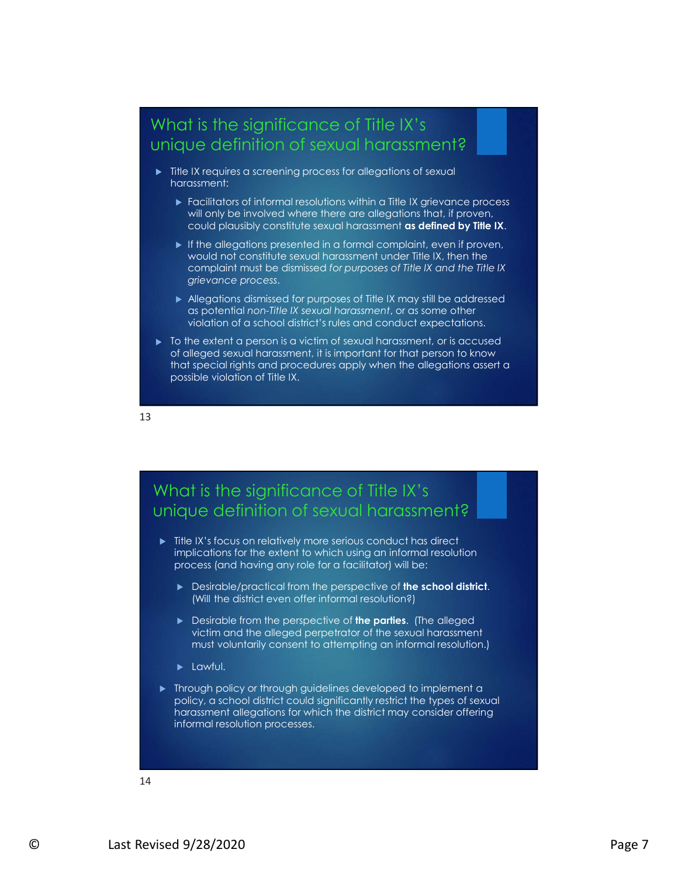#### What is the significance of Title IX's unique definition of sexual harassment?

- $\blacktriangleright$  Title IX requires a screening process for allegations of sexual harassment:
	- Facilitators of informal resolutions within a Title IX grievance process will only be involved where there are allegations that, if proven, could plausibly constitute sexual harassment as defined by Title IX.
	- $\blacktriangleright$  If the allegations presented in a formal complaint, even if proven, would not constitute sexual harassment under Title IX, then the complaint must be dismissed for purposes of Title IX and the Title IX grievance process.
	- Allegations dismissed for purposes of Title IX may still be addressed as potential non-Title IX sexual harassment, or as some other violation of a school district's rules and conduct expectations.
- $\triangleright$  To the extent a person is a victim of sexual harassment, or is accused of alleged sexual harassment, it is important for that person to know that special rights and procedures apply when the allegations assert a possible violation of Title IX.

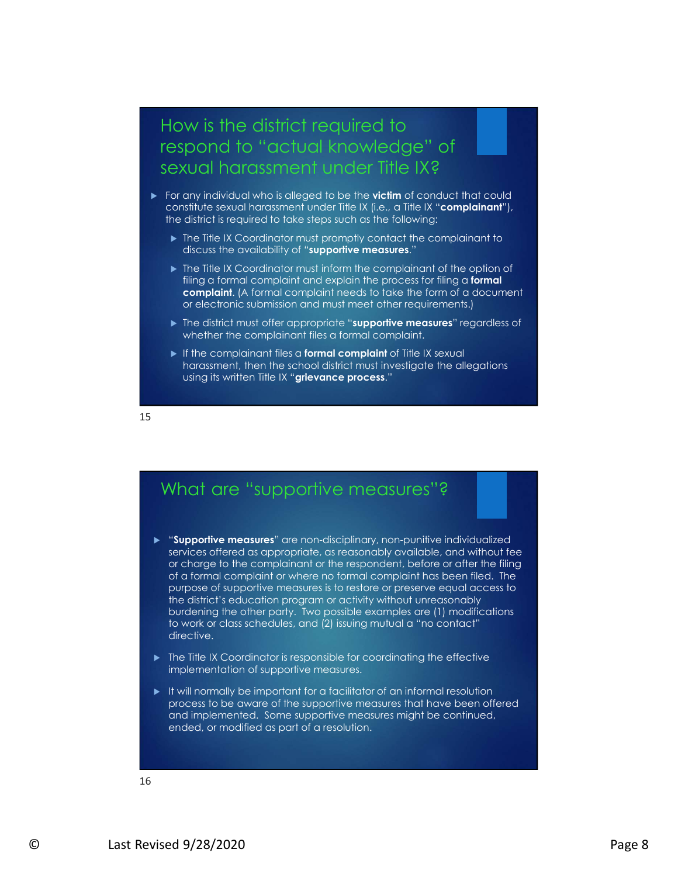#### How is the district required to respond to "actual knowledge" of sexual harassment under Title IX?

- For any individual who is alleged to be the **victim** of conduct that could constitute sexual harassment under Title IX (i.e., a Title IX "complainant"), the district is required to take steps such as the following:
	- $\triangleright$  The Title IX Coordinator must promptly contact the complainant to discuss the availability of "supportive measures."
	- ▶ The Title IX Coordinator must inform the complainant of the option of filing a formal complaint and explain the process for filing a formal complaint. (A formal complaint needs to take the form of a document or electronic submission and must meet other requirements.)
	- ▶ The district must offer appropriate "supportive measures" regardless of whether the complainant files a formal complaint.
	- $\blacktriangleright$  If the complainant files a **formal complaint** of Title IX sexual harassment, then the school district must investigate the allegations using its written Title IX "grievance process."

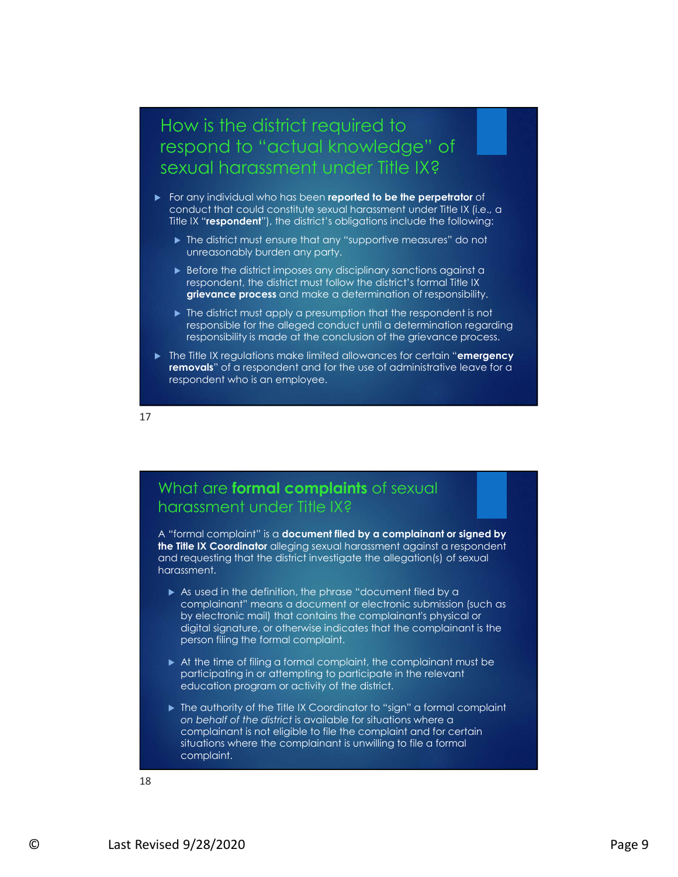# How is the district required to respond to "actual knowledge" of sexual harassment under Title IX? w is the district required to<br>cond to "actual knowledge" of<br>ual harassment under Title IX?<br>anyinavidual who has been reported to be the perpetrator of<br>a dustrial could constitute seval harassment under Title IX (i.e., a<br>IX

- For any individual who has been reported to be the perpetrator of conduct that could constitute sexual harassment under Title IX (i.e., a Title IX "respondent"), the district's obligations include the following:
	- ▶ The district must ensure that any "supportive measures" do not unreasonably burden any party.
	- Before the district imposes any disciplinary sanctions against a respondent, the district must follow the district's formal Title IX
	- ▶ The district must apply a presumption that the respondent is not responsible for the alleged conduct until a determination regarding responsibility is made at the conclusion of the grievance process.
- The Title IX regulations make limited allowances for certain "emergency removals" of a respondent and for the use of administrative leave for a respondent who is an employee.

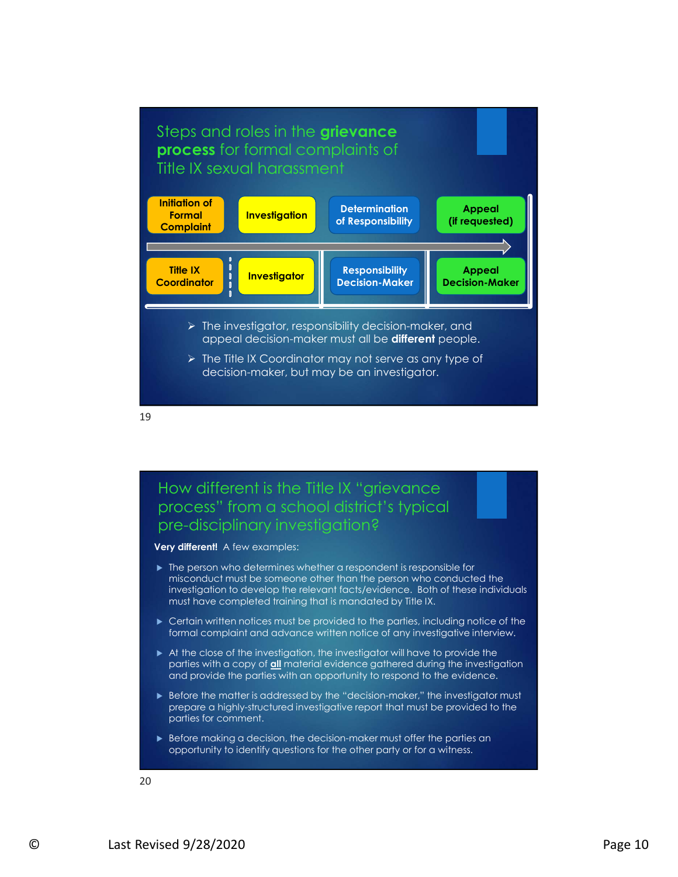

19

#### How different is the Title IX "grievance process" from a school district's typical pre-disciplinary investigation?

Very different! A few examples:

- Final person who determines when the transpondents responsed to the mission who conducted the investigation to develop the relevant fluct/sevidence. Both of these individuals must have completed training that is mandated  $\blacktriangleright$  The person who determines whether a respondent is responsible for misconduct must be someone other than the person who conducted the must have completed training that is mandated by Title IX.
	- ▶ Certain written notices must be provided to the parties, including notice of the formal complaint and advance written notice of any investigative interview.
	- At the close of the investigation, the investigator will have to provide the parties with a copy of all material evidence gathered during the investigation and provide the parties with an opportunity to respond to the evidence.
	- ▶ Before the matter is addressed by the "decision-maker," the investigator must prepare a highly-structured investigative report that must be provided to the parties for comment.
	- Before making a decision, the decision-maker must offer the parties an opportunity to identify questions for the other party or for a witness.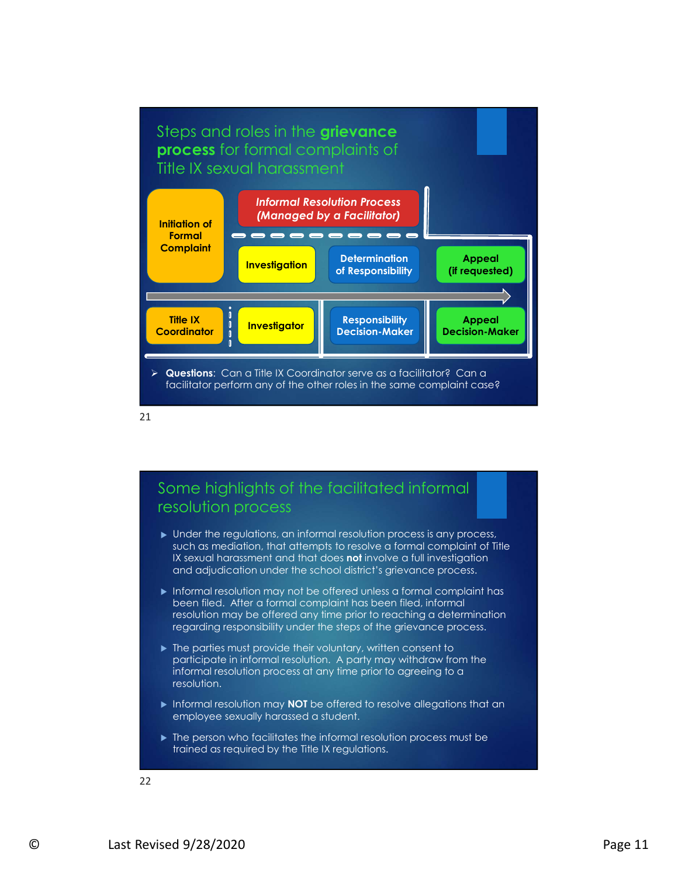



#### Some highlights of the facilitated informal resolution process

- Under the regulations, an informal resolution process is any process, such as mediation, that attempts to resolve a formal complaint of Title IX sexual harassment and that does **not** involve a full investigation and adjudication under the school district's grievance process.
- and adjudication under the school district's grievance process.<br>
► Informal testolition may not be offered unless a formal complaint<br>
been filed. After a formal complaint has been flied, informal<br>
resolution may be offer **Informal resolution may not be offered unless a formal complaint has** been filed. After a formal complaint has been filed, informal resolution may be offered any time prior to reaching a determination regarding responsibility under the steps of the grievance process.
	- $\blacktriangleright$  The parties must provide their voluntary, written consent to participate in informal resolution. A party may withdraw from the informal resolution process at any time prior to agreeing to a resolution.
	- Informal resolution may **NOT** be offered to resolve allegations that an employee sexually harassed a student.
	- $\blacktriangleright$  The person who facilitates the informal resolution process must be trained as required by the Title IX regulations.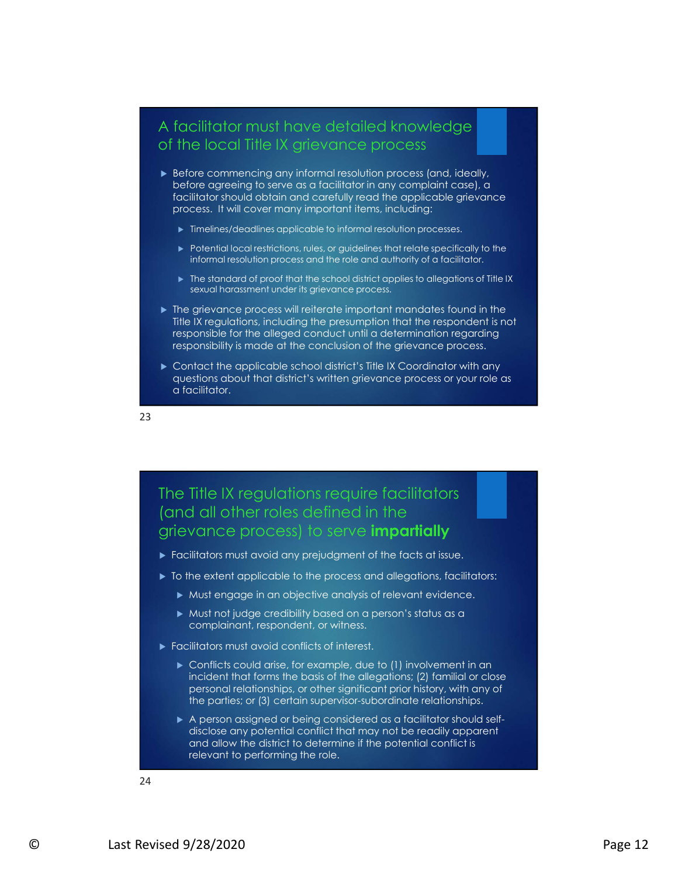#### A facilitator must have detailed knowledge of the local Title IX grievance process

- Before commencing any informal resolution process (and, ideally, before agreeing to serve as a facilitator in any complaint case), a facilitator should obtain and carefully read the applicable grievance process. It will cover many important items, including:
	- $\blacktriangleright$  Timelines/deadlines applicable to informal resolution processes.
	- ▶ Potential local restrictions, rules, or guidelines that relate specifically to the informal resolution process and the role and authority of a facilitator.
	- $\blacktriangleright$  The standard of proof that the school district applies to allegations of Title IX sexual harassment under its grievance process.
- $\blacktriangleright$  The grievance process will reiterate important mandates found in the Title IX regulations, including the presumption that the respondent is not responsible for the alleged conduct until a determination regarding responsibility is made at the conclusion of the grievance process.
- ▶ Contact the applicable school district's Title IX Coordinator with any questions about that district's written grievance process or your role as a facilitator.

23

#### The Title IX regulations require facilitators (and all other roles defined in the grievance process) to serve **impartially**

- **Facilitators must avoid any prejudgment of the facts at issue.**
- $\triangleright$  To the extent applicable to the process and allegations, facilitators:
	- Must engage in an objective analysis of relevant evidence.
	- Must not judge credibility based on a person's status as a complainant, respondent, or witness.
- Facilitators must avoid conflicts of interest.
	- ▶ Conflicts could arise, for example, due to (1) involvement in an incident that forms the basis of the allegations; (2) familial or close personal relationships, or other significant prior history, with any of the parties; or (3) certain supervisor-subordinate relationships.
- ► To the extent opplicable to the process and ollegations, facilitators:<br>
► Must engage in an objective analysis of relevant evidence.<br>
► Must hot judge credibility based on a person's status as a<br>
← complicitions that ac A person assigned or being considered as a facilitator should selfdisclose any potential conflict that may not be readily apparent and allow the district to determine if the potential conflict is relevant to performing the role.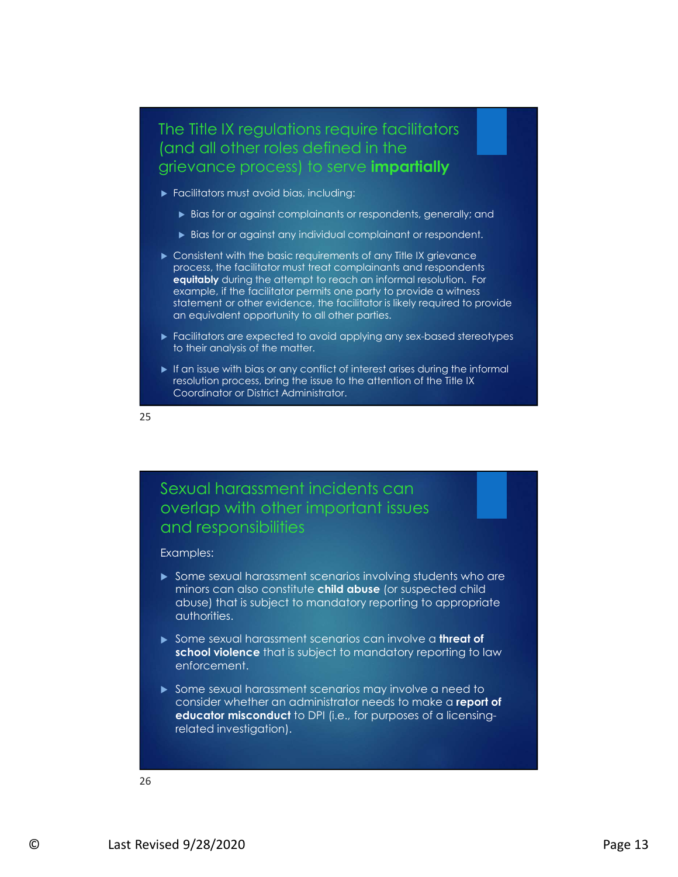#### The Title IX regulations require facilitators (and all other roles defined in the grievance process) to serve *impartially*

- **Facilitators must avoid bias, including:** 
	- Bias for or against complainants or respondents, generally; and
	- Bias for or against any individual complainant or respondent.
- Consistent with the basic requirements of any Title IX grievance process, the facilitator must treat complainants and respondents equitably during the attempt to reach an informal resolution. For example, if the facilitator permits one party to provide a witness statement or other evidence, the facilitator is likely required to provide an equivalent opportunity to all other parties.
- Facilitators are expected to avoid applying any sex-based stereotypes to their analysis of the matter.
- If an issue with bias or any conflict of interest arises during the informal resolution process, bring the issue to the attention of the Title IX Coordinator or District Administrator.

25

#### Sexual harassment incidents can overlap with other important issues and responsibilities

#### Examples:

- <ul>\n<li>Some sexual horassment scenarios involving students who are minors can also constitute child <b>above</b> that is subject to manufacture that <b>above</b> (or suspected child <b>above</b>) and <b>above</b> of <b>above</b> <b>double</b>. Since <b>above</b> <b>above</b> <b>three</b> <b>double</b> <b>both</b> <b>video</b> <b>two</b> <b>second</b> <b>second</b> <b>second</b> <b>second</b> <b>second</b> <b>second</b> <b>second</b> <b>second</b> <b>second</b> <b>second</b> <b>second</b> <b>second</b> <b>second</b> <b>second</ Some sexual harassment scenarios involving students who are minors can also constitute child abuse (or suspected child abuse) that is subject to mandatory reporting to appropriate authorities.
	- Some sexual harassment scenarios can involve a threat of school violence that is subject to mandatory reporting to law enforcement.
	- Some sexual harassment scenarios may involve a need to consider whether an administrator needs to make a report of educator misconduct to DPI (i.e., for purposes of a licensingrelated investigation).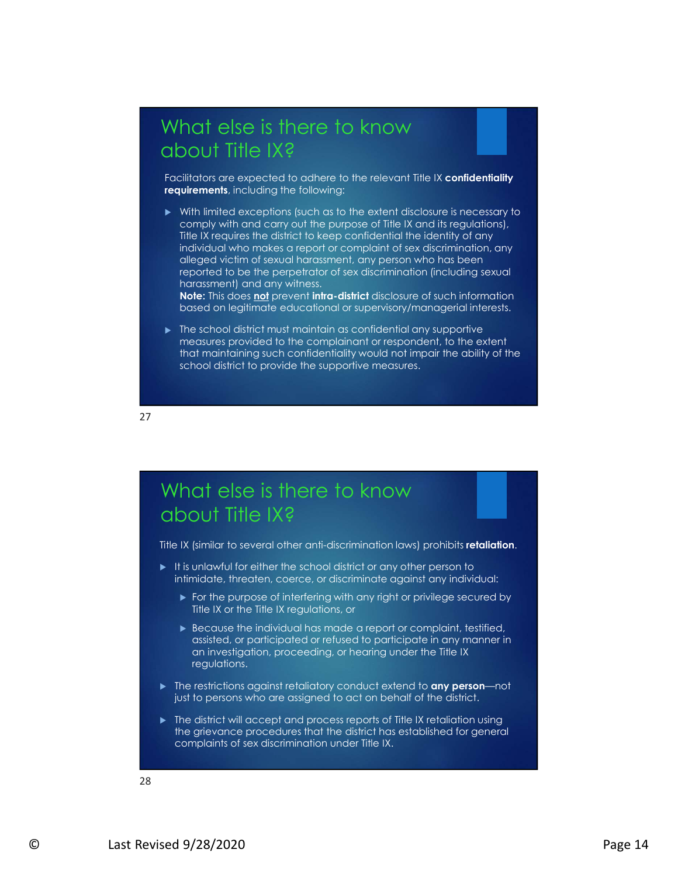## What else is there to know about Title IX?

Facilitators are expected to adhere to the relevant Title IX confidentiality requirements, including the following:

With limited exceptions (such as to the extent disclosure is necessary to comply with and carry out the purpose of Title IX and its regulations), Title IX requires the district to keep confidential the identity of any individual who makes a report or complaint of sex discrimination, any alleged victim of sexual harassment, any person who has been reported to be the perpetrator of sex discrimination (including sexual harassment) and any witness.

Note: This does not prevent intra-district disclosure of such information based on legitimate educational or supervisory/managerial interests.

 $\blacktriangleright$  The school district must maintain as confidential any supportive measures provided to the complainant or respondent, to the extent that maintaining such confidentiality would not impair the ability of the school district to provide the supportive measures. dileged victim of sexual harassment, any person who has been reported to be the prepetator of sex discrimination (including sexual<br>harassment) and any witness.<br>
Note: This does <u>not</u> prevent laws -district disclosure of s



## What else is there to know about Title IX?

- intimidate, threaten, coerce, or discriminate against any individual:
	- For the purpose of interfering with any right or privilege secured by Title IX or the Title IX regulations, or
- Firstname that there are some of the matter of the present of the time purpose or interaction contents on the firstname of the propose of the Bitter III and the propose of the Bitter Revised of relative of the Bitter Cont Because the individual has made a report or complaint, testified, assisted, or participated or refused to participate in any manner in an investigation, proceeding, or hearing under the Title IX regulations. What else is there to know<br>
about Title IX?<br>
The IX (similar to several other anti-discrimination laws) probibilis relation.<br>
It is underwhere the second district or any other person to<br>
It is underwhere the set of discri
	- ▶ The restrictions against retaliatory conduct extend to any person—not just to persons who are assigned to act on behalf of the district.
	- the grievance procedures that the district has established for general complaints of sex discrimination under Title IX.